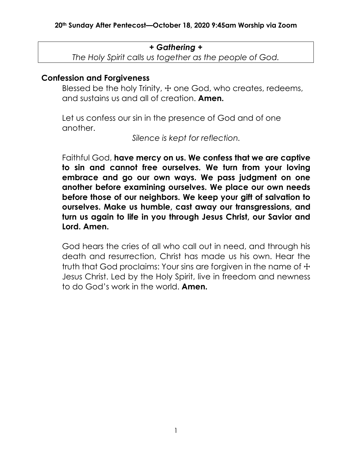#### *+ Gathering +*

*The Holy Spirit calls us together as the people of God.*

#### **Confession and Forgiveness**

Blessed be the holy Trinity,  $\pm$  one God, who creates, redeems, and sustains us and all of creation. **Amen.**

Let us confess our sin in the presence of God and of one another.

*Silence is kept for reflection.*

Faithful God, **have mercy on us. We confess that we are captive to sin and cannot free ourselves. We turn from your loving embrace and go our own ways. We pass judgment on one another before examining ourselves. We place our own needs before those of our neighbors. We keep your gift of salvation to ourselves. Make us humble, cast away our transgressions, and turn us again to life in you through Jesus Christ, our Savior and Lord. Amen.**

God hears the cries of all who call out in need, and through his death and resurrection, Christ has made us his own. Hear the truth that God proclaims: Your sins are forgiven in the name of  $\pm$ Jesus Christ. Led by the Holy Spirit, live in freedom and newness to do God's work in the world. **Amen.**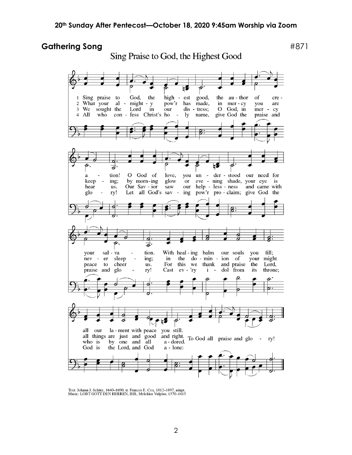**Gathering Song**<br>Sing Praise to God, the Highest Good



Text: Johann J. Schütz, 1640–1690; tr. Frances E. Cox, 1812–1897, adapt.<br>Music: LOBT GOTT DEN HERREN, IHR, Melchior Vulpius, 1570–1615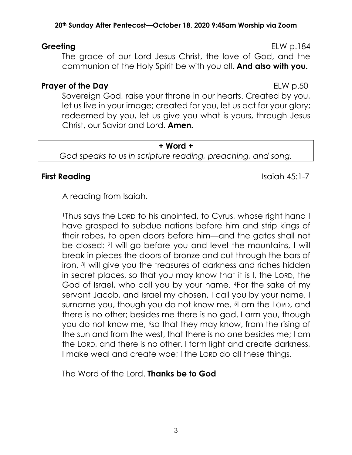#### **20th Sunday After Pentecost—October 18, 2020 9:45am Worship via Zoom**

### **Greeting** ELW p.184 The grace of our Lord Jesus Christ, the love of God, and the communion of the Holy Spirit be with you all. **And also with you.**

### **Prayer of the Day ELW p.50**

Sovereign God, raise your throne in our hearts. Created by you, let us live in your image; created for you, let us act for your glory; redeemed by you, let us give you what is yours, through Jesus Christ, our Savior and Lord. **Amen.**

#### **+ Word +**

*God speaks to us in scripture reading, preaching, and song.*

## **First Reading Islaming Islaming Islaming Islaming Islaming Islaming Islaming Islaming IS**

A reading from Isaiah.

<sup>1</sup>Thus says the LORD to his anointed, to Cyrus, whose right hand I have grasped to subdue nations before him and strip kings of their robes, to open doors before him—and the gates shall not be closed: 2I will go before you and level the mountains, I will break in pieces the doors of bronze and cut through the bars of iron, 3I will give you the treasures of darkness and riches hidden in secret places, so that you may know that it is I, the LORD, the God of Israel, who call you by your name. 4For the sake of my servant Jacob, and Israel my chosen, I call you by your name, I surname you, though you do not know me. <sup>5</sup>I am the LORD, and there is no other; besides me there is no god. I arm you, though you do not know me, <sup>6</sup>so that they may know, from the rising of the sun and from the west, that there is no one besides me; I am the LORD, and there is no other. I form light and create darkness, I make weal and create woe; I the LORD do all these things.

The Word of the Lord. **Thanks be to God**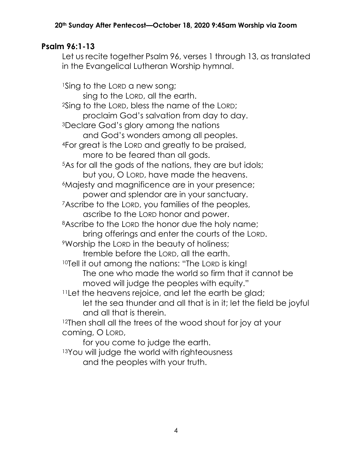## **Psalm 96:1-13**

Let us recite together Psalm 96, verses 1 through 13, as translated in the Evangelical Lutheran Worship hymnal.

<sup>1</sup>Sing to the LORD a new song; sing to the LORD, all the earth. <sup>2</sup>Sing to the LORD, bless the name of the LORD; proclaim God's salvation from day to day. <sup>3</sup>Declare God's glory among the nations and God's wonders among all peoples. <sup>4</sup>For great is the LORD and greatly to be praised, more to be feared than all gods. <sup>5</sup>As for all the gods of the nations, they are but idols; but you, O LORD, have made the heavens. <sup>6</sup>Majesty and magnificence are in your presence; power and splendor are in your sanctuary. <sup>7</sup>Ascribe to the LORD, you families of the peoples, ascribe to the LORD honor and power. <sup>8</sup>Ascribe to the LORD the honor due the holy name; bring offerings and enter the courts of the LORD. <sup>9</sup>Worship the LORD in the beauty of holiness; tremble before the LORD, all the earth. 10Tell it out among the nations: "The LORD is king! The one who made the world so firm that it cannot be moved will judge the peoples with equity." <sup>11</sup>Let the heavens rejoice, and let the earth be glad; let the sea thunder and all that is in it; let the field be joyful and all that is therein. <sup>12</sup>Then shall all the trees of the wood shout for joy at your coming, O LORD, for you come to judge the earth. 13You will judge the world with righteousness

and the peoples with your truth.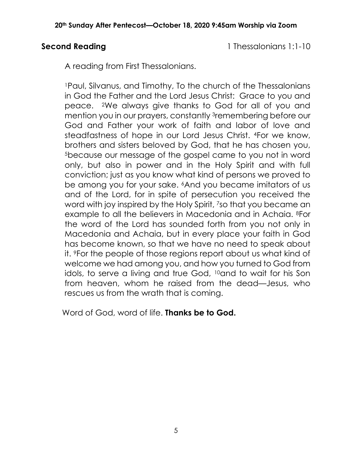**Second Reading** 1 Thessalonians 1:1-10

A reading from First Thessalonians.

<sup>1</sup>Paul, Silvanus, and Timothy, To the church of the Thessalonians in God the Father and the Lord Jesus Christ: Grace to you and peace. 2We always give thanks to God for all of you and mention you in our prayers, constantly 3remembering before our God and Father your work of faith and labor of love and steadfastness of hope in our Lord Jesus Christ. 4For we know, brothers and sisters beloved by God, that he has chosen you, <sup>5</sup>because our message of the gospel came to you not in word only, but also in power and in the Holy Spirit and with full conviction; just as you know what kind of persons we proved to be among you for your sake. 6And you became imitators of us and of the Lord, for in spite of persecution you received the word with joy inspired by the Holy Spirit, 7so that you became an example to all the believers in Macedonia and in Achaia. 8For the word of the Lord has sounded forth from you not only in Macedonia and Achaia, but in every place your faith in God has become known, so that we have no need to speak about it. 9For the people of those regions report about us what kind of welcome we had among you, and how you turned to God from idols, to serve a living and true God, <sup>10</sup>and to wait for his Son from heaven, whom he raised from the dead—Jesus, who rescues us from the wrath that is coming.

Word of God, word of life. **Thanks be to God.**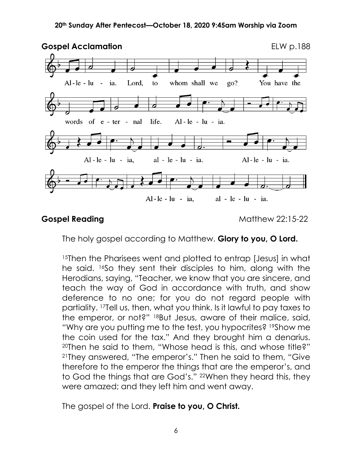

**Gospel Reading**  Matthew 22:15-22

The holy gospel according to Matthew. **Glory to you, O Lord.**

<sup>15</sup>Then the Pharisees went and plotted to entrap [Jesus] in what he said. 16So they sent their disciples to him, along with the Herodians, saying, "Teacher, we know that you are sincere, and teach the way of God in accordance with truth, and show deference to no one; for you do not regard people with partiality. 17Tell us, then, what you think. Is it lawful to pay taxes to the emperor, or not?" 18But Jesus, aware of their malice, said, "Why are you putting me to the test, you hypocrites? 19Show me the coin used for the tax." And they brought him a denarius. <sup>20</sup>Then he said to them, "Whose head is this, and whose title?" <sup>21</sup>They answered, "The emperor's." Then he said to them, "Give therefore to the emperor the things that are the emperor's, and to God the things that are God's." 22When they heard this, they were amazed; and they left him and went away.

The gospel of the Lord. **Praise to you, O Christ.**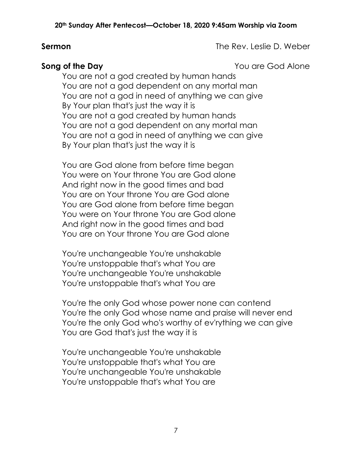#### **20th Sunday After Pentecost—October 18, 2020 9:45am Worship via Zoom**

**Sermon** The Rev. Leslie D. Weber

**Song of the Day Song of the Day** *You are God Alone* 

You are not a god created by human hands You are not a god dependent on any mortal man You are not a god in need of anything we can give By Your plan that's just the way it is You are not a god created by human hands You are not a god dependent on any mortal man You are not a god in need of anything we can give By Your plan that's just the way it is

You are God alone from before time began You were on Your throne You are God alone And right now in the good times and bad You are on Your throne You are God alone You are God alone from before time began You were on Your throne You are God alone And right now in the good times and bad You are on Your throne You are God alone

You're unchangeable You're unshakable You're unstoppable that's what You are You're unchangeable You're unshakable You're unstoppable that's what You are

You're the only God whose power none can contend You're the only God whose name and praise will never end You're the only God who's worthy of ev'rything we can give You are God that's just the way it is

You're unchangeable You're unshakable You're unstoppable that's what You are You're unchangeable You're unshakable You're unstoppable that's what You are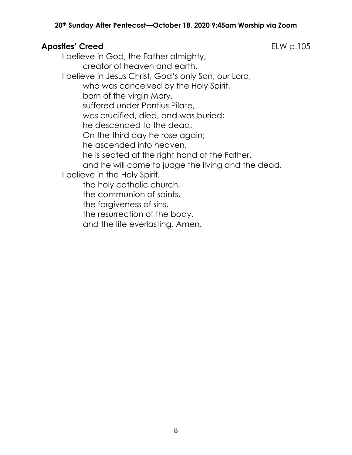# **Apostles' Creed** ELW p.105

I believe in God, the Father almighty, creator of heaven and earth. I believe in Jesus Christ, God's only Son, our Lord, who was conceived by the Holy Spirit, born of the virgin Mary, suffered under Pontius Pilate, was crucified, died, and was buried; he descended to the dead. On the third day he rose again; he ascended into heaven, he is seated at the right hand of the Father, and he will come to judge the living and the dead. I believe in the Holy Spirit, the holy catholic church, the communion of saints, the forgiveness of sins, the resurrection of the body, and the life everlasting. Amen.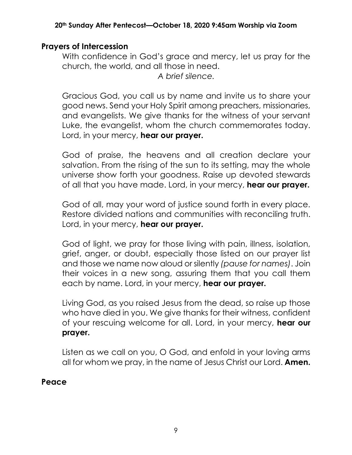**20th Sunday After Pentecost—October 18, 2020 9:45am Worship via Zoom**

## **Prayers of Intercession**

With confidence in God's grace and mercy, let us pray for the church, the world, and all those in need. *A brief silence.*

Gracious God, you call us by name and invite us to share your good news. Send your Holy Spirit among preachers, missionaries, and evangelists. We give thanks for the witness of your servant Luke, the evangelist, whom the church commemorates today. Lord, in your mercy, **hear our prayer.**

God of praise, the heavens and all creation declare your salvation. From the rising of the sun to its setting, may the whole universe show forth your goodness. Raise up devoted stewards of all that you have made. Lord, in your mercy, **hear our prayer.**

God of all, may your word of justice sound forth in every place. Restore divided nations and communities with reconciling truth. Lord, in your mercy, **hear our prayer.**

God of light, we pray for those living with pain, illness, isolation, grief, anger, or doubt, especially those listed on our prayer list and those we name now aloud or silently *(pause for names)*. Join their voices in a new song, assuring them that you call them each by name. Lord, in your mercy, **hear our prayer.**

Living God, as you raised Jesus from the dead, so raise up those who have died in you. We give thanks for their witness, confident of your rescuing welcome for all. Lord, in your mercy, **hear our prayer.**

Listen as we call on you, O God, and enfold in your loving arms all for whom we pray, in the name of Jesus Christ our Lord. **Amen.**

## **Peace**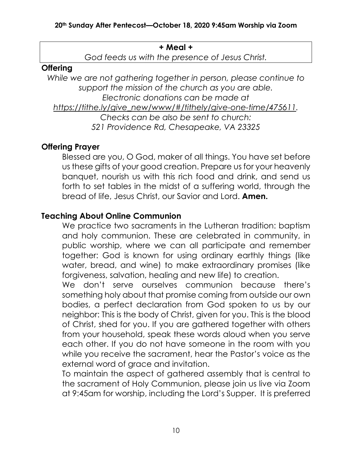#### **+ Meal +**

*God feeds us with the presence of Jesus Christ.*

### **Offering**

*While we are not gathering together in person, please continue to support the mission of the church as you are able. Electronic donations can be made at [https://tithe.ly/give\\_new/www/#/tithely/give-one-time/475611.](https://tithe.ly/give_new/www/#/tithely/give-one-time/475611) Checks can be also be sent to church: 521 Providence Rd, Chesapeake, VA 23325*

## **Offering Prayer**

Blessed are you, O God, maker of all things. You have set before us these gifts of your good creation. Prepare us for your heavenly banquet, nourish us with this rich food and drink, and send us forth to set tables in the midst of a suffering world, through the bread of life, Jesus Christ, our Savior and Lord. **Amen.**

## **Teaching About Online Communion**

We practice two sacraments in the Lutheran tradition: baptism and holy communion. These are celebrated in community, in public worship, where we can all participate and remember together: God is known for using ordinary earthly things (like water, bread, and wine) to make extraordinary promises (like forgiveness, salvation, healing and new life) to creation.

We don't serve ourselves communion because there's something holy about that promise coming from outside our own bodies, a perfect declaration from God spoken to us by our neighbor: This is the body of Christ, given for you. This is the blood of Christ, shed for you. If you are gathered together with others from your household, speak these words aloud when you serve each other. If you do not have someone in the room with you while you receive the sacrament, hear the Pastor's voice as the external word of grace and invitation.

To maintain the aspect of gathered assembly that is central to the sacrament of Holy Communion, please join us live via Zoom at 9:45am for worship, including the Lord's Supper. It is preferred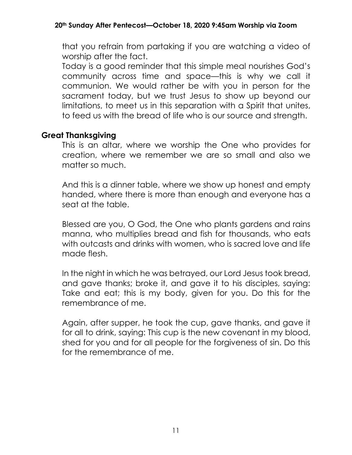that you refrain from partaking if you are watching a video of worship after the fact.

Today is a good reminder that this simple meal nourishes God's community across time and space—this is why we call it communion. We would rather be with you in person for the sacrament today, but we trust Jesus to show up beyond our limitations, to meet us in this separation with a Spirit that unites, to feed us with the bread of life who is our source and strength.

## **Great Thanksgiving**

This is an altar, where we worship the One who provides for creation, where we remember we are so small and also we matter so much.

And this is a dinner table, where we show up honest and empty handed, where there is more than enough and everyone has a seat at the table.

Blessed are you, O God, the One who plants gardens and rains manna, who multiplies bread and fish for thousands, who eats with outcasts and drinks with women, who is sacred love and life made flesh.

In the night in which he was betrayed, our Lord Jesus took bread, and gave thanks; broke it, and gave it to his disciples, saying: Take and eat; this is my body, given for you. Do this for the remembrance of me.

Again, after supper, he took the cup, gave thanks, and gave it for all to drink, saying: This cup is the new covenant in my blood, shed for you and for all people for the forgiveness of sin. Do this for the remembrance of me.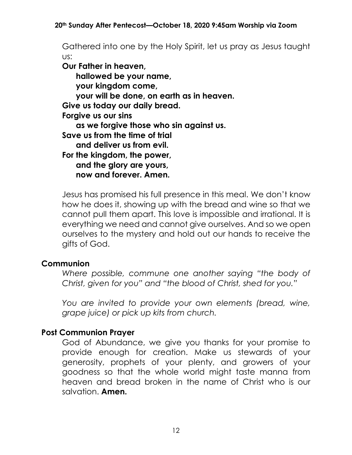Gathered into one by the Holy Spirit, let us pray as Jesus taught us:

**Our Father in heaven, hallowed be your name, your kingdom come, your will be done, on earth as in heaven. Give us today our daily bread. Forgive us our sins as we forgive those who sin against us. Save us from the time of trial and deliver us from evil. For the kingdom, the power, and the glory are yours, now and forever. Amen.**

Jesus has promised his full presence in this meal. We don't know how he does it, showing up with the bread and wine so that we cannot pull them apart. This love is impossible and irrational. It is everything we need and cannot give ourselves. And so we open ourselves to the mystery and hold out our hands to receive the gifts of God.

# **Communion**

*Where possible, commune one another saying "the body of Christ, given for you" and "the blood of Christ, shed for you."*

*You are invited to provide your own elements (bread, wine, grape juice) or pick up kits from church.*

# **Post Communion Prayer**

God of Abundance, we give you thanks for your promise to provide enough for creation. Make us stewards of your generosity, prophets of your plenty, and growers of your goodness so that the whole world might taste manna from heaven and bread broken in the name of Christ who is our salvation. **Amen.**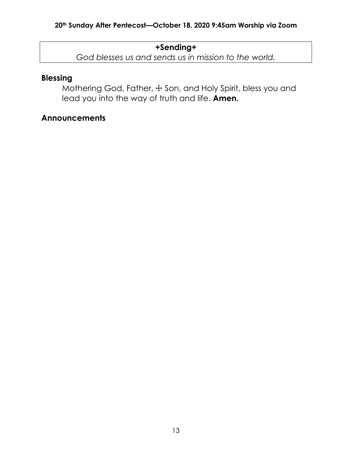### **+Sending+**

*God blesses us and sends us in mission to the world.*

# **Blessing**

Mothering God, Father, + Son, and Holy Spirit, bless you and lead you into the way of truth and life. **Amen.**

## **Announcements**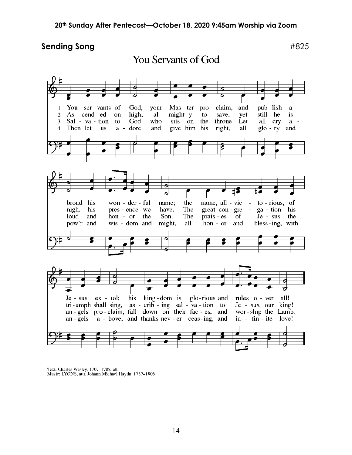#### **Sending Song** #825



Text: Charles Wesley, 1707-1788, alt. Music: LYONS, attr. Johann Michael Haydn, 1737-1806